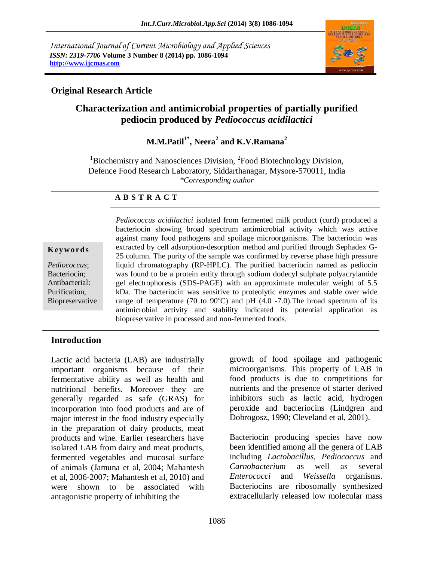*International Journal of Current Microbiology and Applied Sciences ISSN: 2319-7706* **Volume 3 Number 8 (2014) pp. 1086-1094 http://www.ijcmas.com**



## **Original Research Article**

# **Characterization and antimicrobial properties of partially purified pediocin produced by** *Pediococcus acidilactici*

**M.M.Patil1\*, Neera<sup>2</sup> and K.V.Ramana<sup>2</sup>**

 $1B$ iochemistry and Nanosciences Division,  $2F$ ood Biotechnology Division, Defence Food Research Laboratory, Siddarthanagar, Mysore-570011, India *\*Corresponding author* 

### **A B S T R A C T**

#### **K ey w o rd s**

*Pediococcus*; Bacteriocin; Antibacterial: Purification, Biopreservative *Pediococcus acidilactici* isolated from fermented milk product (curd) produced a bacteriocin showing broad spectrum antimicrobial activity which was active against many food pathogens and spoilage microorganisms. The bacteriocin was extracted by cell adsorption-desorption method and purified through Sephadex G-25 column. The purity of the sample was confirmed by reverse phase high pressure liquid chromatography (RP-HPLC). The purified bacteriocin named as pediocin was found to be a protein entity through sodium dodecyl sulphate polyacrylamide gel electrophoresis (SDS-PAGE) with an approximate molecular weight of 5.5 kDa. The bacteriocin was sensitive to proteolytic enzymes and stable over wide range of temperature (70 to 90 $^{\circ}$ C) and pH (4.0 -7.0). The broad spectrum of its antimicrobial activity and stability indicated its potential application as biopreservative in processed and non-fermented foods.

## **Introduction**

Lactic acid bacteria (LAB) are industrially important organisms because of their fermentative ability as well as health and nutritional benefits. Moreover they are generally regarded as safe (GRAS) for incorporation into food products and are of major interest in the food industry especially in the preparation of dairy products, meat products and wine. Earlier researchers have isolated LAB from dairy and meat products, fermented vegetables and mucosal surface of animals (Jamuna et al, 2004; Mahantesh et al, 2006-2007; Mahantesh et al, 2010) and were shown to be associated with antagonistic property of inhibiting the

growth of food spoilage and pathogenic microorganisms. This property of LAB in food products is due to competitions for nutrients and the presence of starter derived inhibitors such as lactic acid, hydrogen peroxide and bacteriocins (Lindgren and Dobrogosz, 1990; Cleveland et al, 2001).

Bacteriocin producing species have now been identified among all the genera of LAB including *Lactobacillus, Pediococcus* and *Carnobacterium* as well as several *Enterococci* and *Weissella* organisms. Bacteriocins are ribosomally synthesized extracellularly released low molecular mass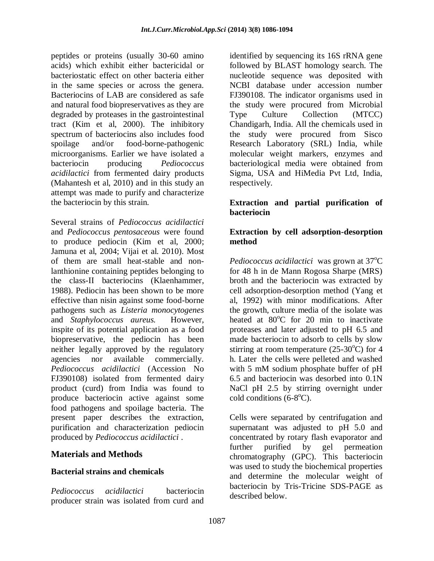peptides or proteins (usually 30-60 amino acids) which exhibit either bactericidal or bacteriostatic effect on other bacteria either in the same species or across the genera. Bacteriocins of LAB are considered as safe and natural food biopreservatives as they are degraded by proteases in the gastrointestinal tract (Kim et al, 2000). The inhibitory spectrum of bacteriocins also includes food spoilage and/or food-borne-pathogenic microorganisms. Earlier we have isolated a bacteriocin producing *Pediococcus acidilactici* from fermented dairy products (Mahantesh et al, 2010) and in this study an attempt was made to purify and characterize the bacteriocin by this strain.

Several strains of *Pediococcus acidilactici* and *Pediococcus pentosaceous* were found to produce pediocin (Kim et al, 2000; Jamuna et al, 2004; Vijai et al. 2010). Most of them are small heat-stable and nonlanthionine containing peptides belonging to the class-II bacteriocins (Klaenhammer, 1988). Pediocin has been shown to be more effective than nisin against some food-borne pathogens such as *Listeria monocytogenes*  and *Staphylococcus aureus.* However, inspite of its potential application as a food biopreservative, the pediocin has been neither legally approved by the regulatory agencies nor available commercially. *Pediococcus acidilactici* (Accession No FJ390108) isolated from fermented dairy product (curd) from India was found to produce bacteriocin active against some food pathogens and spoilage bacteria. The present paper describes the extraction, purification and characterization pediocin produced by *Pediococcus acidilactici* .

## **Materials and Methods**

### **Bacterial strains and chemicals**

*Pediococcus acidilactici* bacteriocin producer strain was isolated from curd and

identified by sequencing its 16S rRNA gene followed by BLAST homology search. The nucleotide sequence was deposited with NCBI database under accession number FJ390108. The indicator organisms used in the study were procured from Microbial Type Culture Collection (MTCC) Chandigarh, India. All the chemicals used in the study were procured from Sisco Research Laboratory (SRL) India, while molecular weight markers, enzymes and bacteriological media were obtained from Sigma, USA and HiMedia Pvt Ltd, India, respectively.

#### **Extraction and partial purification of bacteriocin**

#### **Extraction by cell adsorption-desorption method**

*Pediococcus acidilactici* was grown at 37<sup>o</sup>C for 48 h in de Mann Rogosa Sharpe (MRS) broth and the bacteriocin was extracted by cell adsorption-desorption method (Yang et al, 1992) with minor modifications. After the growth, culture media of the isolate was heated at  $80^{\circ}$ C for 20 min to inactivate proteases and later adjusted to pH 6.5 and made bacteriocin to adsorb to cells by slow stirring at room temperature  $(25-30^{\circ}C)$  for 4 h. Later the cells were pelleted and washed with 5 mM sodium phosphate buffer of pH 6.5 and bacteriocin was desorbed into 0.1N NaCl pH 2.5 by stirring overnight under cold conditions  $(6-8^{\circ}\text{C})$ .

Cells were separated by centrifugation and supernatant was adjusted to pH 5.0 and concentrated by rotary flash evaporator and further purified by gel permeation chromatography (GPC). This bacteriocin was used to study the biochemical properties and determine the molecular weight of bacteriocin by Tris-Tricine SDS-PAGE as described below.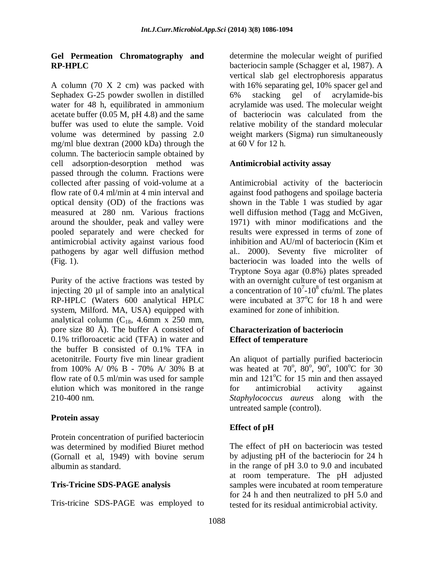### **Gel Permeation Chromatography and RP-HPLC**

A column (70 X 2 cm) was packed with Sephadex G-25 powder swollen in distilled water for 48 h, equilibrated in ammonium acetate buffer (0.05 M, pH 4.8) and the same buffer was used to elute the sample. Void volume was determined by passing 2.0 mg/ml blue dextran (2000 kDa) through the column. The bacteriocin sample obtained by cell adsorption-desorption method was passed through the column. Fractions were collected after passing of void-volume at a flow rate of 0.4 ml/min at 4 min interval and optical density (OD) of the fractions was measured at 280 nm. Various fractions around the shoulder, peak and valley were pooled separately and were checked for antimicrobial activity against various food pathogens by agar well diffusion method (Fig. 1).

Purity of the active fractions was tested by injecting 20 µl of sample into an analytical RP-HPLC (Waters 600 analytical HPLC system, Milford. MA, USA) equipped with analytical column  $(C_{18}, 4.6$ mm x 250 mm, pore size 80 Å). The buffer A consisted of 0.1% trifloroacetic acid (TFA) in water and the buffer B consisted of 0.1% TFA in acetonitrile. Fourty five min linear gradient from 100% A/ 0% B - 70% A/ 30% B at flow rate of 0.5 ml/min was used for sample elution which was monitored in the range 210-400 nm.

## **Protein assay**

Protein concentration of purified bacteriocin was determined by modified Biuret method (Gornall et al, 1949) with bovine serum albumin as standard.

## **Tris-Tricine SDS-PAGE analysis**

Tris-tricine SDS-PAGE was employed to

determine the molecular weight of purified bacteriocin sample (Schagger et al, 1987). A vertical slab gel electrophoresis apparatus with 16% separating gel, 10% spacer gel and 6% stacking gel of acrylamide-bis acrylamide was used. The molecular weight of bacteriocin was calculated from the relative mobility of the standard molecular weight markers (Sigma) run simultaneously at 60 V for 12 h.

## **Antimicrobial activity assay**

Antimicrobial activity of the bacteriocin against food pathogens and spoilage bacteria shown in the Table 1 was studied by agar well diffusion method (Tagg and McGiven, 1971) with minor modifications and the results were expressed in terms of zone of inhibition and AU/ml of bacteriocin (Kim et al.. 2000). Seventy five microliter of bacteriocin was loaded into the wells of Tryptone Soya agar (0.8%) plates spreaded with an overnight culture of test organism at a concentration of  $10^{7}$ - $10^{8}$  cfu/ml. The plates were incubated at  $37^{\circ}$ C for 18 h and were examined for zone of inhibition.

### **Characterization of bacteriocin Effect of temperature**

An aliquot of partially purified bacteriocin was heated at  $70^{\circ}$ ,  $80^{\circ}$ ,  $90^{\circ}$ ,  $100^{\circ}$ C for 30 min and  $121^{\circ}$ C for 15 min and then assayed for antimicrobial activity against *Staphylococcus aureus* along with the untreated sample (control).

## **Effect of pH**

The effect of pH on bacteriocin was tested by adjusting pH of the bacteriocin for 24 h in the range of pH 3.0 to 9.0 and incubated at room temperature. The pH adjusted samples were incubated at room temperature for 24 h and then neutralized to pH 5.0 and tested for its residual antimicrobial activity.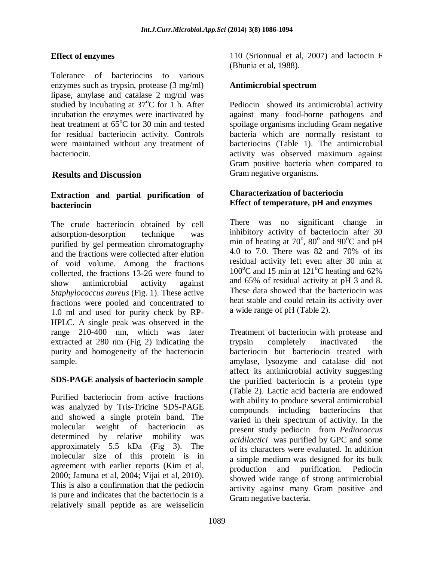## **Effect of enzymes**

Tolerance of bacteriocins to various enzymes such as trypsin, protease (3 mg/ml) lipase, amylase and catalase 2 mg/ml was studied by incubating at  $37^{\circ}$ C for 1 h. After incubation the enzymes were inactivated by heat treatment at  $65^{\circ}$ C for 30 min and tested for residual bacteriocin activity. Controls were maintained without any treatment of bacteriocin.

## **Results and Discussion**

### **Extraction and partial purification of bacteriocin**

The crude bacteriocin obtained by cell adsorption-desorption technique was purified by gel permeation chromatography and the fractions were collected after elution of void volume. Among the fractions collected, the fractions 13-26 were found to show antimicrobial activity against *Staphylococcus aureus* (Fig. 1). These active fractions were pooled and concentrated to 1.0 ml and used for purity check by RP-HPLC. A single peak was observed in the range 210-400 nm, which was later extracted at 280 nm (Fig 2) indicating the purity and homogeneity of the bacteriocin sample.

### **SDS-PAGE analysis of bacteriocin sample**

Purified bacteriocin from active fractions was analyzed by Tris-Tricine SDS-PAGE and showed a single protein band. The molecular weight of bacteriocin as determined by relative mobility was approximately 5.5 kDa (Fig 3). The molecular size of this protein is in agreement with earlier reports (Kim et al, 2000; Jamuna et al, 2004; Vijai et al, 2010). This is also a confirmation that the pediocin is pure and indicates that the bacteriocin is a relatively small peptide as are weisselicin

110 (Srionnual et al, 2007) and lactocin F (Bhunia et al, 1988).

### **Antimicrobial spectrum**

Pediocin showed its antimicrobial activity against many food-borne pathogens and spoilage organisms including Gram negative bacteria which are normally resistant to bacteriocins (Table 1). The antimicrobial activity was observed maximum against Gram positive bacteria when compared to Gram negative organisms.

### **Characterization of bacteriocin Effect of temperature, pH and enzymes**

There was no significant change in inhibitory activity of bacteriocin after 30 min of heating at  $70^{\circ}$ ,  $80^{\circ}$  and  $90^{\circ}$ C and pH 4.0 to 7.0. There was 82 and 70% of its residual activity left even after 30 min at  $100^{\circ}$ C and 15 min at 121<sup>°</sup>C heating and 62% and 65% of residual activity at pH 3 and 8. These data showed that the bacteriocin was heat stable and could retain its activity over a wide range of pH (Table 2).

Treatment of bacteriocin with protease and trypsin completely inactivated the bacteriocin but bacteriocin treated with amylase, lysozyme and catalase did not affect its antimicrobial activity suggesting the purified bacteriocin is a protein type (Table 2). Lactic acid bacteria are endowed with ability to produce several antimicrobial compounds including bacteriocins that varied in their spectrum of activity. In the present study pediocin from *Pediococcus acidilactici* was purified by GPC and some of its characters were evaluated. In addition a simple medium was designed for its bulk production and purification. Pediocin showed wide range of strong antimicrobial activity against many Gram positive and Gram negative bacteria.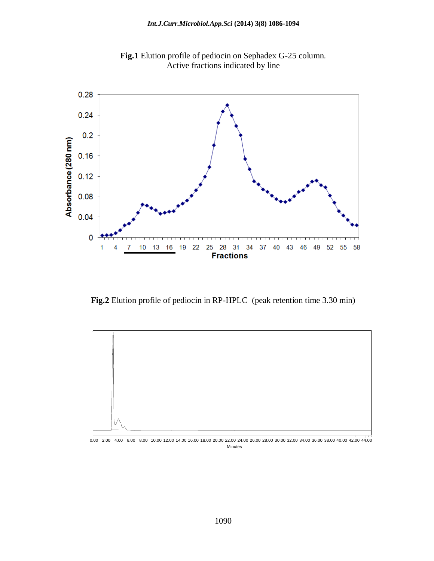

**Fig.1** Elution profile of pediocin on Sephadex G-25 column. Active fractions indicated by line

**Fig.2** Elution profile of pediocin in RP-HPLC (peak retention time 3.30 min)



Minutes 0.00 2.00 4.00 6.00 8.00 10.00 12.00 14.00 16.00 18.00 20.00 22.00 24.00 26.00 28.00 30.00 32.00 34.00 36.00 38.00 40.00 42.00 44.00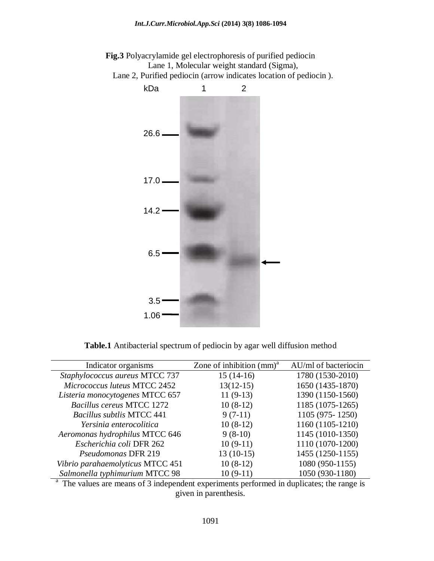

**Fig.3** Polyacrylamide gel electrophoresis of purified pediocin Lane 1, Molecular weight standard (Sigma),

Lane 2, Purified pediocin (arrow indicates location of pediocin ).

**Table.1** Antibacterial spectrum of pediocin by agar well diffusion method

| Indicator organisms              | Zone of inhibition $\text{(mm)}^a$ | AU/ml of bacteriocin |
|----------------------------------|------------------------------------|----------------------|
| Staphylococcus aureus MTCC 737   | $15(14-16)$                        | 1780 (1530-2010)     |
| Micrococcus luteus MTCC 2452     | $13(12-15)$                        | 1650 (1435-1870)     |
| Listeria monocytogenes MTCC 657  | $11(9-13)$                         | 1390 (1150-1560)     |
| Bacillus cereus MTCC 1272        | $10(8-12)$                         | 1185 (1075-1265)     |
| <b>Bacillus subtlis MTCC 441</b> | $9(7-11)$                          | 1105 (975 - 1250)    |
| Yersinia enterocolitica          | $10(8-12)$                         | 1160 (1105-1210)     |
| Aeromonas hydrophilus MTCC 646   | $9(8-10)$                          | 1145 (1010-1350)     |
| Escherichia coli DFR 262         | $10(9-11)$                         | 1110 (1070-1200)     |
| Pseudomonas DFR 219              | $13(10-15)$                        | 1455 (1250-1155)     |
| Vibrio parahaemolyticus MTCC 451 | $10(8-12)$                         | 1080 (950-1155)      |
| Salmonella typhimurium MTCC 98   | $10(9-11)$                         | 1050 (930-1180)      |

 $^{\circ}$ . The values are means of 3 independent experiments performed in duplicates; the range is given in parenthesis.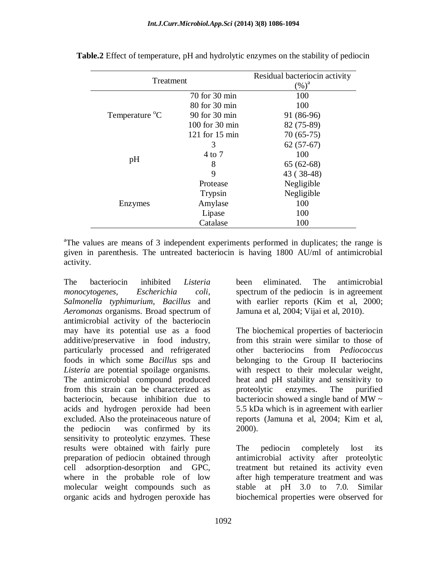| Treatment                  |                    | Residual bacteriocin activity<br>$(\%)^a$ |  |
|----------------------------|--------------------|-------------------------------------------|--|
|                            | 70 for 30 min      | 100                                       |  |
| Temperature <sup>o</sup> C | 80 for 30 min      | 100                                       |  |
|                            | 90 for 30 min      | 91 (86-96)                                |  |
|                            | $100$ for $30$ min | 82 (75-89)                                |  |
|                            | $121$ for $15$ min | $70(65-75)$                               |  |
| pH                         | 3                  | $62(57-67)$                               |  |
|                            | 4 to 7             | 100                                       |  |
|                            | 8                  | $65(62-68)$                               |  |
|                            | 9                  | 43 (38-48)                                |  |
| Enzymes                    | Protease           | Negligible                                |  |
|                            | Trypsin            | Negligible                                |  |
|                            | Amylase            | 100                                       |  |
|                            | Lipase             | 100                                       |  |
|                            | Catalase           | 100                                       |  |

**Table.2** Effect of temperature, pH and hydrolytic enzymes on the stability of pediocin

<sup>a</sup>The values are means of 3 independent experiments performed in duplicates; the range is given in parenthesis. The untreated bacteriocin is having 1800 AU/ml of antimicrobial activity.

The bacteriocin inhibited *Listeria monocytogenes, Escherichia coli*, *Salmonella typhimurium, Bacillus* and *Aeromonas* organisms. Broad spectrum of antimicrobial activity of the bacteriocin may have its potential use as a food additive/preservative in food industry, particularly processed and refrigerated foods in which some *Bacillus* sps and *Listeria* are potential spoilage organisms. The antimicrobial compound produced from this strain can be characterized as bacteriocin, because inhibition due to acids and hydrogen peroxide had been excluded. Also the proteinaceous nature of the pediocin was confirmed by its sensitivity to proteolytic enzymes. These results were obtained with fairly pure preparation of pediocin obtained through cell adsorption-desorption and GPC, where in the probable role of low molecular weight compounds such as organic acids and hydrogen peroxide has

been eliminated. The antimicrobial spectrum of the pediocin is in agreement with earlier reports (Kim et al, 2000; Jamuna et al, 2004; Vijai et al, 2010).

The biochemical properties of bacteriocin from this strain were similar to those of other bacteriocins from *Pediococcus* belonging to the Group II bacteriocins with respect to their molecular weight, heat and pH stability and sensitivity to proteolytic enzymes. The purified bacteriocin showed a single band of MW  $\sim$ 5.5 kDa which is in agreement with earlier reports (Jamuna et al, 2004; Kim et al, 2000).

The pediocin completely lost its antimicrobial activity after proteolytic treatment but retained its activity even after high temperature treatment and was stable at pH 3.0 to 7.0. Similar biochemical properties were observed for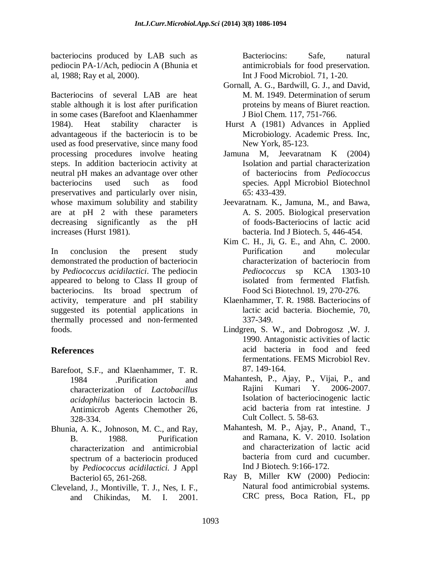bacteriocins produced by LAB such as pediocin PA-1/Ach, pediocin A (Bhunia et al, 1988; Ray et al, 2000).

Bacteriocins of several LAB are heat stable although it is lost after purification in some cases (Barefoot and Klaenhammer 1984). Heat stability character is advantageous if the bacteriocin is to be used as food preservative, since many food processing procedures involve heating steps. In addition bacteriocin activity at neutral pH makes an advantage over other bacteriocins used such as food preservatives and particularly over nisin, whose maximum solubility and stability are at pH 2 with these parameters decreasing significantly as the pH increases (Hurst 1981).

In conclusion the present study demonstrated the production of bacteriocin by *Pediococcus acidilactici*. The pediocin appeared to belong to Class II group of bacteriocins. Its broad spectrum of activity, temperature and pH stability suggested its potential applications in thermally processed and non-fermented foods.

## **References**

- Barefoot, S.F., and Klaenhammer, T. R. 1984 .Purification and characterization of *Lactobacillus acidophilus* bacteriocin lactocin B. Antimicrob Agents Chemother 26, 328-334.
- Bhunia, A. K., Johnoson, M. C., and Ray, B. 1988. Purification characterization and antimicrobial spectrum of a bacteriocin produced by *Pediococcus acidilactici.* J Appl Bacteriol 65, 261-268.
- Cleveland, J., Montiville, T. J., Nes, I. F., and Chikindas, M. I. 2001.

Bacteriocins: Safe, natural antimicrobials for food preservation. Int J Food Microbiol. 71, 1-20.

- Gornall, A. G., Bardwill, G. J., and David, M. M. 1949. Determination of serum proteins by means of Biuret reaction. J Biol Chem. 117, 751-766.
- Hurst A (1981) Advances in Applied Microbiology. Academic Press. Inc, New York, 85-123.
- Jamuna M, Jeevaratnam K (2004) Isolation and partial characterization of bacteriocins from *Pediococcus* species. Appl Microbiol Biotechnol 65: 433-439.
- Jeevaratnam. K., Jamuna, M., and Bawa, A. S. 2005. Biological preservation of foods-Bacteriocins of lactic acid bacteria. Ind J Biotech. 5, 446-454.
- Kim C. H., Ji, G. E., and Ahn, C. 2000. Purification and molecular characterization of bacteriocin from *Pediococcus* sp KCA 1303-10 isolated from fermented Flatfish. Food Sci Biotechnol. 19, 270-276.
- Klaenhammer, T. R. 1988. Bacteriocins of lactic acid bacteria. Biochemie, 70, 337-349.
- Lindgren, S. W., and Dobrogosz ,W. J. 1990. Antagonistic activities of lactic acid bacteria in food and feed fermentations. FEMS Microbiol Rev. 87. 149-164.
- Mahantesh, P., Ajay, P., Vijai, P., and Rajini Kumari Y. 2006-2007. Isolation of bacteriocinogenic lactic acid bacteria from rat intestine. J Cult Collect. 5. 58-63.
- Mahantesh, M. P., Ajay, P., Anand, T., and Ramana, K. V. 2010. Isolation and characterization of lactic acid bacteria from curd and cucumber. Ind J Biotech. 9:166-172.
- Ray B, Miller KW (2000) Pediocin: Natural food antimicrobial systems. CRC press, Boca Ration, FL, pp